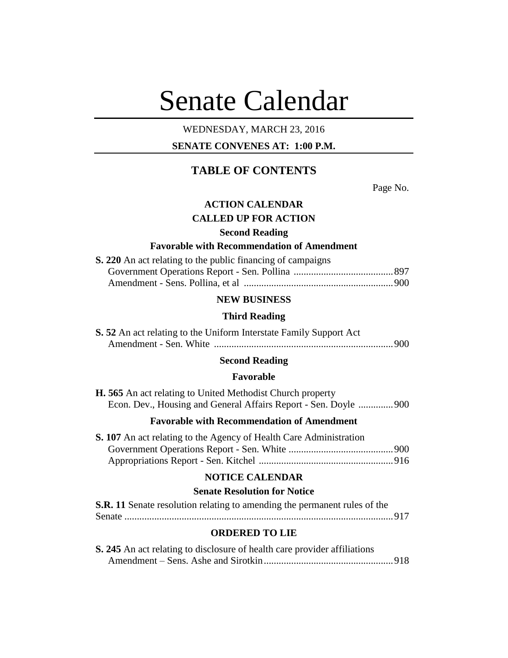# Senate Calendar

## WEDNESDAY, MARCH 23, 2016

## **SENATE CONVENES AT: 1:00 P.M.**

# **TABLE OF CONTENTS**

Page No.

## **ACTION CALENDAR**

## **CALLED UP FOR ACTION**

## **Second Reading**

## **Favorable with Recommendation of Amendment**

| <b>S. 220</b> An act relating to the public financing of campaigns |  |
|--------------------------------------------------------------------|--|
|                                                                    |  |
|                                                                    |  |

#### **NEW BUSINESS**

#### **Third Reading**

| <b>S. 52</b> An act relating to the Uniform Interstate Family Support Act |  |
|---------------------------------------------------------------------------|--|
|                                                                           |  |

## **Second Reading**

#### **Favorable**

| <b>H. 565</b> An act relating to United Methodist Church property |  |
|-------------------------------------------------------------------|--|
| Econ. Dev., Housing and General Affairs Report - Sen. Doyle  900  |  |

## **Favorable with Recommendation of Amendment**

| <b>S. 107</b> An act relating to the Agency of Health Care Administration |  |
|---------------------------------------------------------------------------|--|
|                                                                           |  |
|                                                                           |  |

## **NOTICE CALENDAR**

#### **Senate Resolution for Notice**

| <b>S.R. 11</b> Senate resolution relating to amending the permanent rules of the |  |
|----------------------------------------------------------------------------------|--|
|                                                                                  |  |

#### **ORDERED TO LIE**

| S. 245 An act relating to disclosure of health care provider affiliations |  |
|---------------------------------------------------------------------------|--|
|                                                                           |  |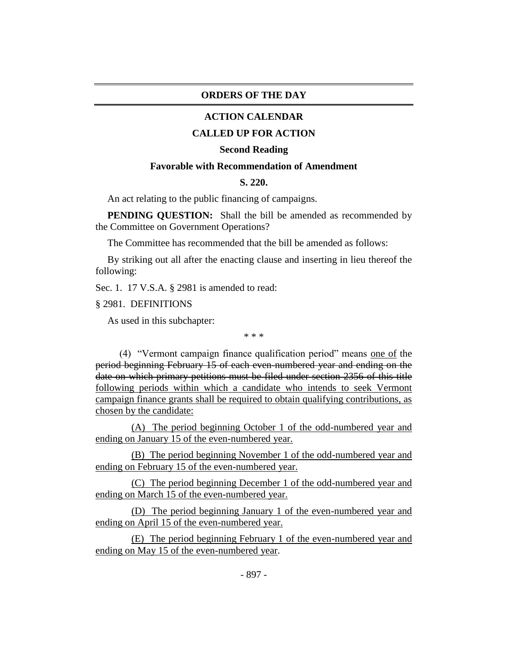#### **ORDERS OF THE DAY**

#### **ACTION CALENDAR**

#### **CALLED UP FOR ACTION**

#### **Second Reading**

## **Favorable with Recommendation of Amendment**

#### **S. 220.**

An act relating to the public financing of campaigns.

**PENDING QUESTION:** Shall the bill be amended as recommended by the Committee on Government Operations?

The Committee has recommended that the bill be amended as follows:

By striking out all after the enacting clause and inserting in lieu thereof the following:

Sec. 1. 17 V.S.A. § 2981 is amended to read:

§ 2981. DEFINITIONS

As used in this subchapter:

\* \* \*

(4) "Vermont campaign finance qualification period" means one of the period beginning February 15 of each even-numbered year and ending on the date on which primary petitions must be filed under section 2356 of this title following periods within which a candidate who intends to seek Vermont campaign finance grants shall be required to obtain qualifying contributions, as chosen by the candidate:

(A) The period beginning October 1 of the odd-numbered year and ending on January 15 of the even-numbered year.

(B) The period beginning November 1 of the odd-numbered year and ending on February 15 of the even-numbered year.

(C) The period beginning December 1 of the odd-numbered year and ending on March 15 of the even-numbered year.

(D) The period beginning January 1 of the even-numbered year and ending on April 15 of the even-numbered year.

(E) The period beginning February 1 of the even-numbered year and ending on May 15 of the even-numbered year.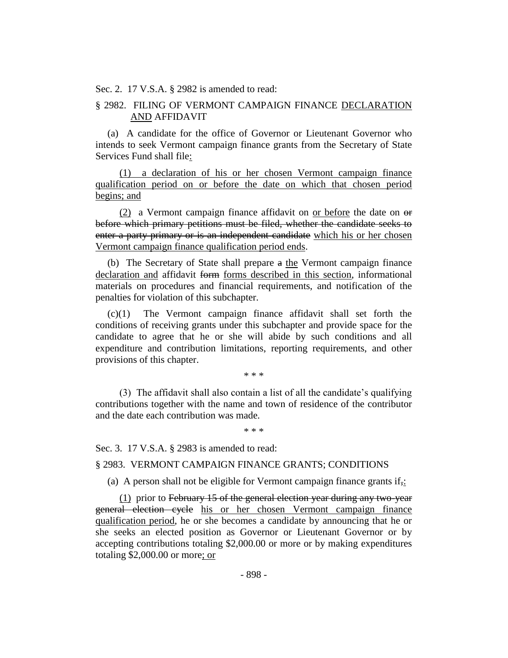Sec. 2. 17 V.S.A. § 2982 is amended to read:

## § 2982. FILING OF VERMONT CAMPAIGN FINANCE DECLARATION AND AFFIDAVIT

(a) A candidate for the office of Governor or Lieutenant Governor who intends to seek Vermont campaign finance grants from the Secretary of State Services Fund shall file:

(1) a declaration of his or her chosen Vermont campaign finance qualification period on or before the date on which that chosen period begins; and

(2) a Vermont campaign finance affidavit on or before the date on  $\Theta$ before which primary petitions must be filed, whether the candidate seeks to enter a party primary or is an independent candidate which his or her chosen Vermont campaign finance qualification period ends.

(b) The Secretary of State shall prepare a the Vermont campaign finance declaration and affidavit form forms described in this section, informational materials on procedures and financial requirements, and notification of the penalties for violation of this subchapter.

(c)(1) The Vermont campaign finance affidavit shall set forth the conditions of receiving grants under this subchapter and provide space for the candidate to agree that he or she will abide by such conditions and all expenditure and contribution limitations, reporting requirements, and other provisions of this chapter.

\* \* \*

(3) The affidavit shall also contain a list of all the candidate's qualifying contributions together with the name and town of residence of the contributor and the date each contribution was made.

\* \* \*

Sec. 3. 17 V.S.A. § 2983 is amended to read:

#### § 2983. VERMONT CAMPAIGN FINANCE GRANTS; CONDITIONS

(a) A person shall not be eligible for Vermont campaign finance grants if<sub> $\pm$ </sub>:

(1) prior to February 15 of the general election year during any two-year general election cycle his or her chosen Vermont campaign finance qualification period, he or she becomes a candidate by announcing that he or she seeks an elected position as Governor or Lieutenant Governor or by accepting contributions totaling \$2,000.00 or more or by making expenditures totaling \$2,000.00 or more; or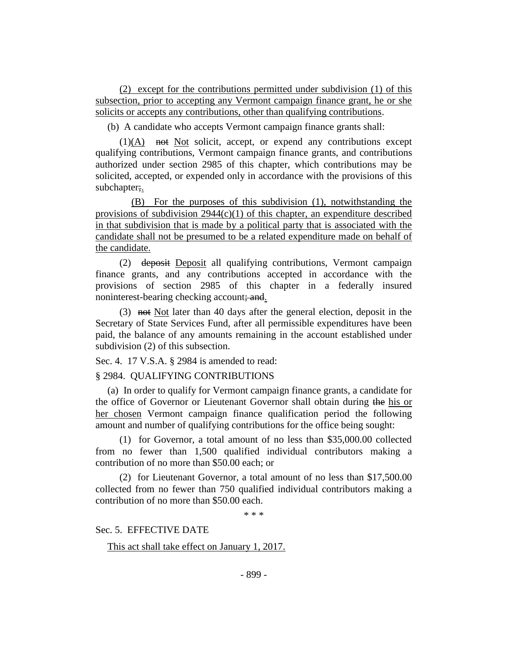(2) except for the contributions permitted under subdivision (1) of this subsection, prior to accepting any Vermont campaign finance grant, he or she solicits or accepts any contributions, other than qualifying contributions.

(b) A candidate who accepts Vermont campaign finance grants shall:

 $(1)(A)$  not Not solicit, accept, or expend any contributions except qualifying contributions, Vermont campaign finance grants, and contributions authorized under section 2985 of this chapter, which contributions may be solicited, accepted, or expended only in accordance with the provisions of this subchapter;.

(B) For the purposes of this subdivision (1), notwithstanding the provisions of subdivision  $2944(c)(1)$  of this chapter, an expenditure described in that subdivision that is made by a political party that is associated with the candidate shall not be presumed to be a related expenditure made on behalf of the candidate.

(2) deposit Deposit all qualifying contributions, Vermont campaign finance grants, and any contributions accepted in accordance with the provisions of section 2985 of this chapter in a federally insured noninterest-bearing checking account; and.

(3) not Not later than 40 days after the general election, deposit in the Secretary of State Services Fund, after all permissible expenditures have been paid, the balance of any amounts remaining in the account established under subdivision (2) of this subsection.

Sec. 4. 17 V.S.A. § 2984 is amended to read:

§ 2984. QUALIFYING CONTRIBUTIONS

(a) In order to qualify for Vermont campaign finance grants, a candidate for the office of Governor or Lieutenant Governor shall obtain during the his or her chosen Vermont campaign finance qualification period the following amount and number of qualifying contributions for the office being sought:

(1) for Governor, a total amount of no less than \$35,000.00 collected from no fewer than 1,500 qualified individual contributors making a contribution of no more than \$50.00 each; or

(2) for Lieutenant Governor, a total amount of no less than \$17,500.00 collected from no fewer than 750 qualified individual contributors making a contribution of no more than \$50.00 each.

\* \* \*

Sec. 5. EFFECTIVE DATE

This act shall take effect on January 1, 2017.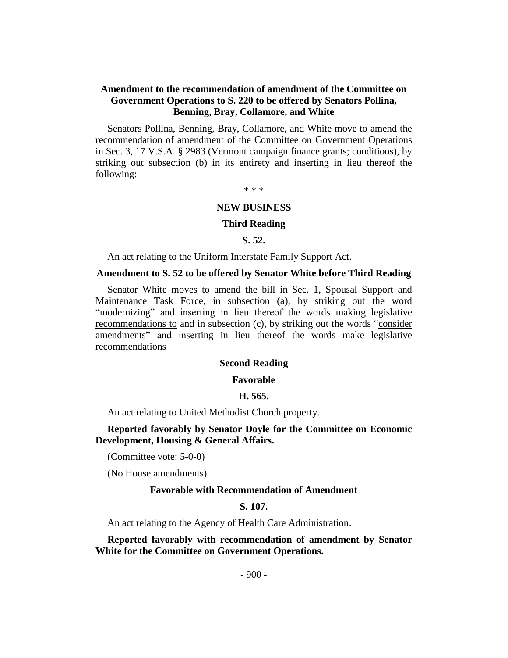## **Amendment to the recommendation of amendment of the Committee on Government Operations to S. 220 to be offered by Senators Pollina, Benning, Bray, Collamore, and White**

Senators Pollina, Benning, Bray, Collamore, and White move to amend the recommendation of amendment of the Committee on Government Operations in Sec. 3, 17 V.S.A. § 2983 (Vermont campaign finance grants; conditions), by striking out subsection (b) in its entirety and inserting in lieu thereof the following:

\* \* \*

#### **NEW BUSINESS**

#### **Third Reading**

**S. 52.**

An act relating to the Uniform Interstate Family Support Act.

#### **Amendment to S. 52 to be offered by Senator White before Third Reading**

Senator White moves to amend the bill in Sec. 1, Spousal Support and Maintenance Task Force, in subsection (a), by striking out the word "modernizing" and inserting in lieu thereof the words making legislative recommendations to and in subsection (c), by striking out the words "consider amendments" and inserting in lieu thereof the words make legislative recommendations

#### **Second Reading**

#### **Favorable**

#### **H. 565.**

An act relating to United Methodist Church property.

#### **Reported favorably by Senator Doyle for the Committee on Economic Development, Housing & General Affairs.**

(Committee vote: 5-0-0)

(No House amendments)

#### **Favorable with Recommendation of Amendment**

**S. 107.**

An act relating to the Agency of Health Care Administration.

**Reported favorably with recommendation of amendment by Senator White for the Committee on Government Operations.**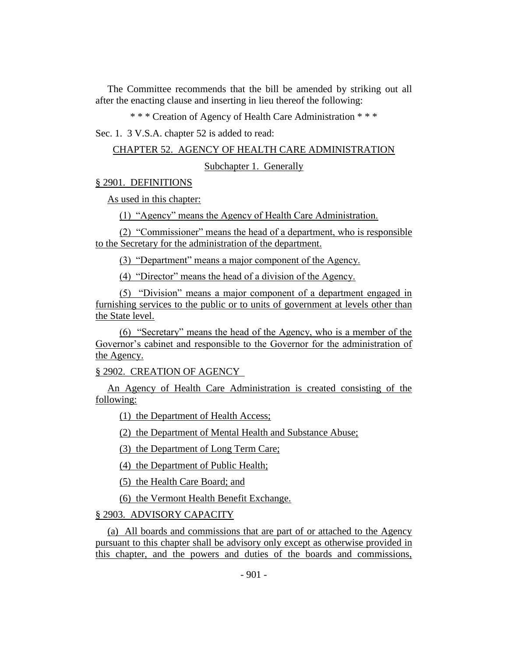The Committee recommends that the bill be amended by striking out all after the enacting clause and inserting in lieu thereof the following:

\* \* \* Creation of Agency of Health Care Administration \* \* \*

Sec. 1. 3 V.S.A. chapter 52 is added to read:

CHAPTER 52. AGENCY OF HEALTH CARE ADMINISTRATION

Subchapter 1. Generally

§ 2901. DEFINITIONS

As used in this chapter:

(1) "Agency" means the Agency of Health Care Administration.

(2) "Commissioner" means the head of a department, who is responsible to the Secretary for the administration of the department.

(3) "Department" means a major component of the Agency.

(4) "Director" means the head of a division of the Agency.

(5) "Division" means a major component of a department engaged in furnishing services to the public or to units of government at levels other than the State level.

(6) "Secretary" means the head of the Agency, who is a member of the Governor's cabinet and responsible to the Governor for the administration of the Agency.

§ 2902. CREATION OF AGENCY

An Agency of Health Care Administration is created consisting of the following:

(1) the Department of Health Access;

(2) the Department of Mental Health and Substance Abuse;

(3) the Department of Long Term Care;

(4) the Department of Public Health;

(5) the Health Care Board; and

(6) the Vermont Health Benefit Exchange.

§ 2903. ADVISORY CAPACITY

(a) All boards and commissions that are part of or attached to the Agency pursuant to this chapter shall be advisory only except as otherwise provided in this chapter, and the powers and duties of the boards and commissions,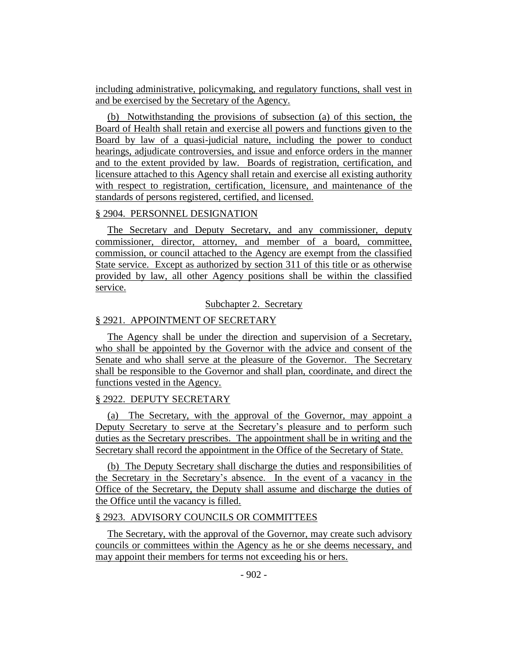including administrative, policymaking, and regulatory functions, shall vest in and be exercised by the Secretary of the Agency.

(b) Notwithstanding the provisions of subsection (a) of this section, the Board of Health shall retain and exercise all powers and functions given to the Board by law of a quasi-judicial nature, including the power to conduct hearings, adjudicate controversies, and issue and enforce orders in the manner and to the extent provided by law. Boards of registration, certification, and licensure attached to this Agency shall retain and exercise all existing authority with respect to registration, certification, licensure, and maintenance of the standards of persons registered, certified, and licensed.

### § 2904. PERSONNEL DESIGNATION

The Secretary and Deputy Secretary, and any commissioner, deputy commissioner, director, attorney, and member of a board, committee, commission, or council attached to the Agency are exempt from the classified State service. Except as authorized by section 311 of this title or as otherwise provided by law, all other Agency positions shall be within the classified service.

## Subchapter 2. Secretary

## § 2921. APPOINTMENT OF SECRETARY

The Agency shall be under the direction and supervision of a Secretary, who shall be appointed by the Governor with the advice and consent of the Senate and who shall serve at the pleasure of the Governor. The Secretary shall be responsible to the Governor and shall plan, coordinate, and direct the functions vested in the Agency.

## § 2922. DEPUTY SECRETARY

(a) The Secretary, with the approval of the Governor, may appoint a Deputy Secretary to serve at the Secretary's pleasure and to perform such duties as the Secretary prescribes. The appointment shall be in writing and the Secretary shall record the appointment in the Office of the Secretary of State.

(b) The Deputy Secretary shall discharge the duties and responsibilities of the Secretary in the Secretary's absence. In the event of a vacancy in the Office of the Secretary, the Deputy shall assume and discharge the duties of the Office until the vacancy is filled.

## § 2923. ADVISORY COUNCILS OR COMMITTEES

The Secretary, with the approval of the Governor, may create such advisory councils or committees within the Agency as he or she deems necessary, and may appoint their members for terms not exceeding his or hers.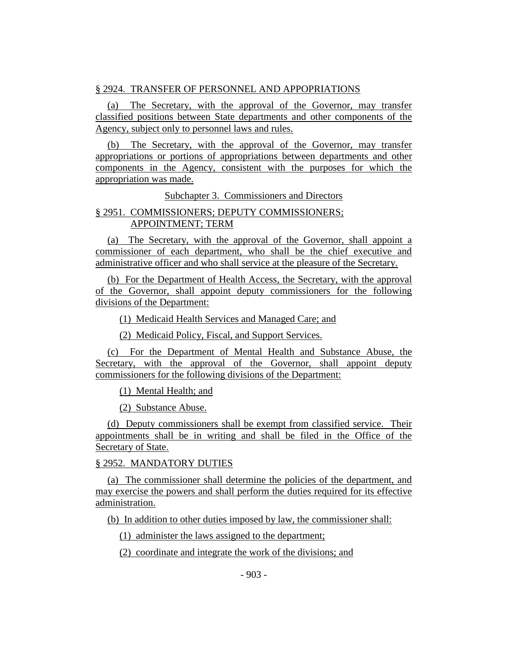## § 2924. TRANSFER OF PERSONNEL AND APPOPRIATIONS

(a) The Secretary, with the approval of the Governor, may transfer classified positions between State departments and other components of the Agency, subject only to personnel laws and rules.

(b) The Secretary, with the approval of the Governor, may transfer appropriations or portions of appropriations between departments and other components in the Agency, consistent with the purposes for which the appropriation was made.

Subchapter 3. Commissioners and Directors

## § 2951. COMMISSIONERS; DEPUTY COMMISSIONERS; APPOINTMENT; TERM

(a) The Secretary, with the approval of the Governor, shall appoint a commissioner of each department, who shall be the chief executive and administrative officer and who shall service at the pleasure of the Secretary.

(b) For the Department of Health Access, the Secretary, with the approval of the Governor, shall appoint deputy commissioners for the following divisions of the Department:

(1) Medicaid Health Services and Managed Care; and

(2) Medicaid Policy, Fiscal, and Support Services.

(c) For the Department of Mental Health and Substance Abuse, the Secretary, with the approval of the Governor, shall appoint deputy commissioners for the following divisions of the Department:

(1) Mental Health; and

(2) Substance Abuse.

(d) Deputy commissioners shall be exempt from classified service. Their appointments shall be in writing and shall be filed in the Office of the Secretary of State.

## § 2952. MANDATORY DUTIES

(a) The commissioner shall determine the policies of the department, and may exercise the powers and shall perform the duties required for its effective administration.

(b) In addition to other duties imposed by law, the commissioner shall:

(1) administer the laws assigned to the department;

(2) coordinate and integrate the work of the divisions; and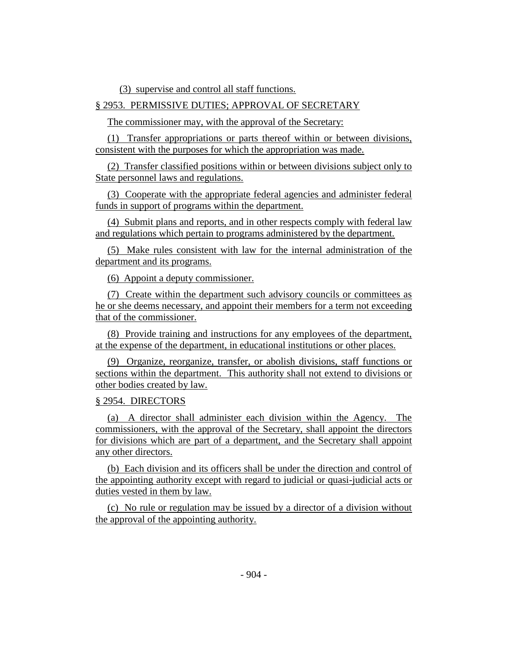(3) supervise and control all staff functions.

## § 2953. PERMISSIVE DUTIES; APPROVAL OF SECRETARY

The commissioner may, with the approval of the Secretary:

(1) Transfer appropriations or parts thereof within or between divisions, consistent with the purposes for which the appropriation was made.

(2) Transfer classified positions within or between divisions subject only to State personnel laws and regulations.

(3) Cooperate with the appropriate federal agencies and administer federal funds in support of programs within the department.

(4) Submit plans and reports, and in other respects comply with federal law and regulations which pertain to programs administered by the department.

(5) Make rules consistent with law for the internal administration of the department and its programs.

(6) Appoint a deputy commissioner.

(7) Create within the department such advisory councils or committees as he or she deems necessary, and appoint their members for a term not exceeding that of the commissioner.

(8) Provide training and instructions for any employees of the department, at the expense of the department, in educational institutions or other places.

(9) Organize, reorganize, transfer, or abolish divisions, staff functions or sections within the department. This authority shall not extend to divisions or other bodies created by law.

#### § 2954. DIRECTORS

(a) A director shall administer each division within the Agency. The commissioners, with the approval of the Secretary, shall appoint the directors for divisions which are part of a department, and the Secretary shall appoint any other directors.

(b) Each division and its officers shall be under the direction and control of the appointing authority except with regard to judicial or quasi-judicial acts or duties vested in them by law.

(c) No rule or regulation may be issued by a director of a division without the approval of the appointing authority.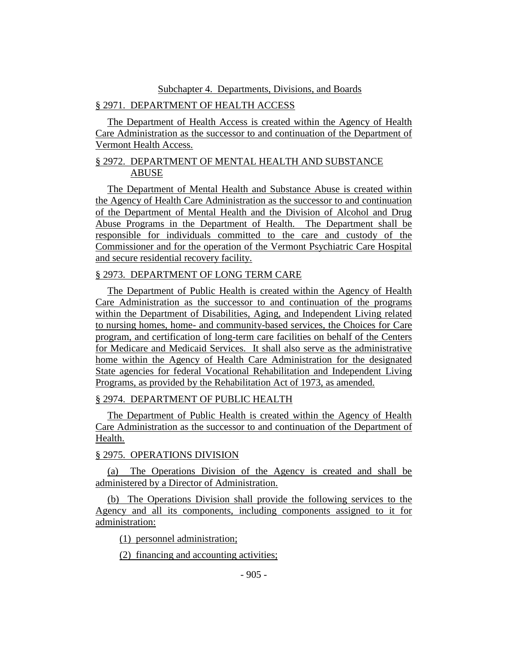#### Subchapter 4. Departments, Divisions, and Boards

## § 2971. DEPARTMENT OF HEALTH ACCESS

The Department of Health Access is created within the Agency of Health Care Administration as the successor to and continuation of the Department of Vermont Health Access.

## § 2972. DEPARTMENT OF MENTAL HEALTH AND SUBSTANCE ABUSE

The Department of Mental Health and Substance Abuse is created within the Agency of Health Care Administration as the successor to and continuation of the Department of Mental Health and the Division of Alcohol and Drug Abuse Programs in the Department of Health. The Department shall be responsible for individuals committed to the care and custody of the Commissioner and for the operation of the Vermont Psychiatric Care Hospital and secure residential recovery facility.

## § 2973. DEPARTMENT OF LONG TERM CARE

The Department of Public Health is created within the Agency of Health Care Administration as the successor to and continuation of the programs within the Department of Disabilities, Aging, and Independent Living related to nursing homes, home- and community-based services, the Choices for Care program, and certification of long-term care facilities on behalf of the Centers for Medicare and Medicaid Services. It shall also serve as the administrative home within the Agency of Health Care Administration for the designated State agencies for federal Vocational Rehabilitation and Independent Living Programs, as provided by the Rehabilitation Act of 1973, as amended.

## § 2974. DEPARTMENT OF PUBLIC HEALTH

The Department of Public Health is created within the Agency of Health Care Administration as the successor to and continuation of the Department of Health.

## § 2975. OPERATIONS DIVISION

(a) The Operations Division of the Agency is created and shall be administered by a Director of Administration.

(b) The Operations Division shall provide the following services to the Agency and all its components, including components assigned to it for administration:

(1) personnel administration;

(2) financing and accounting activities;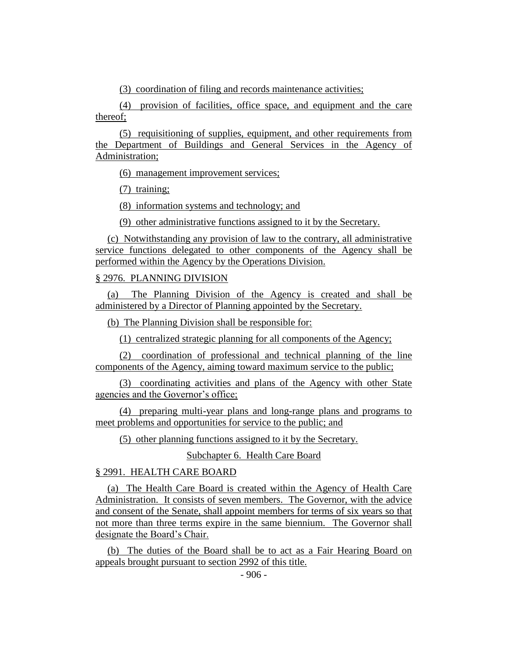(3) coordination of filing and records maintenance activities;

(4) provision of facilities, office space, and equipment and the care thereof;

(5) requisitioning of supplies, equipment, and other requirements from the Department of Buildings and General Services in the Agency of Administration;

(6) management improvement services;

(7) training;

(8) information systems and technology; and

(9) other administrative functions assigned to it by the Secretary.

(c) Notwithstanding any provision of law to the contrary, all administrative service functions delegated to other components of the Agency shall be performed within the Agency by the Operations Division.

## § 2976. PLANNING DIVISION

(a) The Planning Division of the Agency is created and shall be administered by a Director of Planning appointed by the Secretary.

(b) The Planning Division shall be responsible for:

(1) centralized strategic planning for all components of the Agency;

(2) coordination of professional and technical planning of the line components of the Agency, aiming toward maximum service to the public;

(3) coordinating activities and plans of the Agency with other State agencies and the Governor's office;

(4) preparing multi-year plans and long-range plans and programs to meet problems and opportunities for service to the public; and

(5) other planning functions assigned to it by the Secretary.

Subchapter 6. Health Care Board

## § 2991. HEALTH CARE BOARD

(a) The Health Care Board is created within the Agency of Health Care Administration. It consists of seven members. The Governor, with the advice and consent of the Senate, shall appoint members for terms of six years so that not more than three terms expire in the same biennium. The Governor shall designate the Board's Chair.

(b) The duties of the Board shall be to act as a Fair Hearing Board on appeals brought pursuant to section 2992 of this title.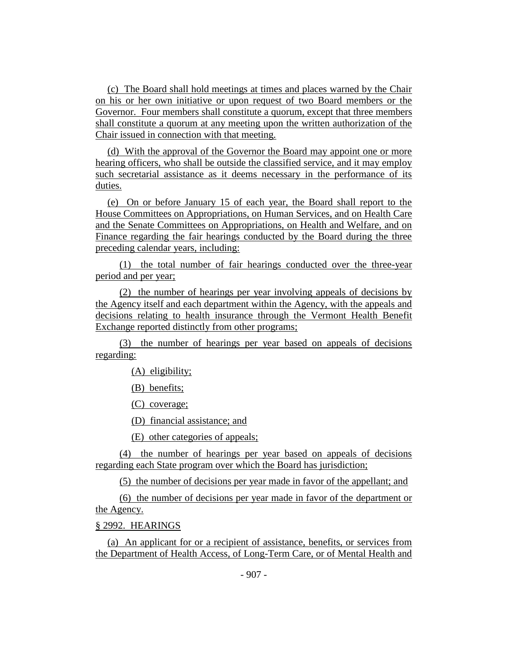(c) The Board shall hold meetings at times and places warned by the Chair on his or her own initiative or upon request of two Board members or the Governor. Four members shall constitute a quorum, except that three members shall constitute a quorum at any meeting upon the written authorization of the Chair issued in connection with that meeting.

(d) With the approval of the Governor the Board may appoint one or more hearing officers, who shall be outside the classified service, and it may employ such secretarial assistance as it deems necessary in the performance of its duties.

(e) On or before January 15 of each year, the Board shall report to the House Committees on Appropriations, on Human Services, and on Health Care and the Senate Committees on Appropriations, on Health and Welfare, and on Finance regarding the fair hearings conducted by the Board during the three preceding calendar years, including:

(1) the total number of fair hearings conducted over the three-year period and per year;

(2) the number of hearings per year involving appeals of decisions by the Agency itself and each department within the Agency, with the appeals and decisions relating to health insurance through the Vermont Health Benefit Exchange reported distinctly from other programs;

(3) the number of hearings per year based on appeals of decisions regarding:

(A) eligibility;

(B) benefits;

(C) coverage;

(D) financial assistance; and

(E) other categories of appeals;

(4) the number of hearings per year based on appeals of decisions regarding each State program over which the Board has jurisdiction;

(5) the number of decisions per year made in favor of the appellant; and

(6) the number of decisions per year made in favor of the department or the Agency.

§ 2992. HEARINGS

(a) An applicant for or a recipient of assistance, benefits, or services from the Department of Health Access, of Long-Term Care, or of Mental Health and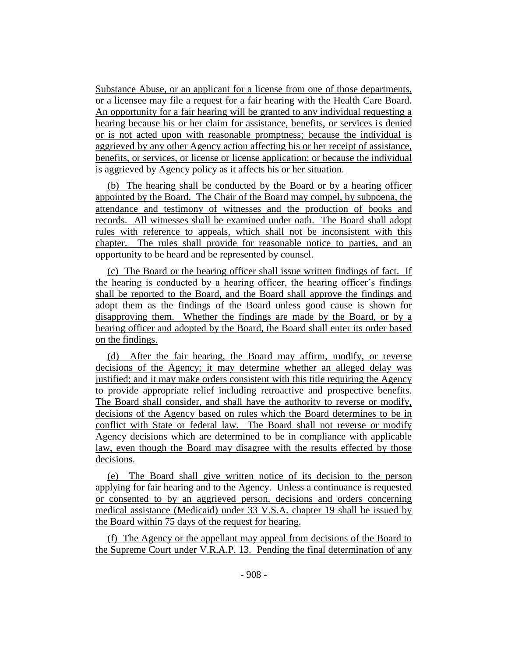Substance Abuse, or an applicant for a license from one of those departments, or a licensee may file a request for a fair hearing with the Health Care Board. An opportunity for a fair hearing will be granted to any individual requesting a hearing because his or her claim for assistance, benefits, or services is denied or is not acted upon with reasonable promptness; because the individual is aggrieved by any other Agency action affecting his or her receipt of assistance, benefits, or services, or license or license application; or because the individual is aggrieved by Agency policy as it affects his or her situation.

(b) The hearing shall be conducted by the Board or by a hearing officer appointed by the Board. The Chair of the Board may compel, by subpoena, the attendance and testimony of witnesses and the production of books and records. All witnesses shall be examined under oath. The Board shall adopt rules with reference to appeals, which shall not be inconsistent with this chapter. The rules shall provide for reasonable notice to parties, and an opportunity to be heard and be represented by counsel.

(c) The Board or the hearing officer shall issue written findings of fact. If the hearing is conducted by a hearing officer, the hearing officer's findings shall be reported to the Board, and the Board shall approve the findings and adopt them as the findings of the Board unless good cause is shown for disapproving them. Whether the findings are made by the Board, or by a hearing officer and adopted by the Board, the Board shall enter its order based on the findings.

(d) After the fair hearing, the Board may affirm, modify, or reverse decisions of the Agency; it may determine whether an alleged delay was justified; and it may make orders consistent with this title requiring the Agency to provide appropriate relief including retroactive and prospective benefits. The Board shall consider, and shall have the authority to reverse or modify, decisions of the Agency based on rules which the Board determines to be in conflict with State or federal law. The Board shall not reverse or modify Agency decisions which are determined to be in compliance with applicable law, even though the Board may disagree with the results effected by those decisions.

(e) The Board shall give written notice of its decision to the person applying for fair hearing and to the Agency. Unless a continuance is requested or consented to by an aggrieved person, decisions and orders concerning medical assistance (Medicaid) under 33 V.S.A. chapter 19 shall be issued by the Board within 75 days of the request for hearing.

(f) The Agency or the appellant may appeal from decisions of the Board to the Supreme Court under V.R.A.P. 13. Pending the final determination of any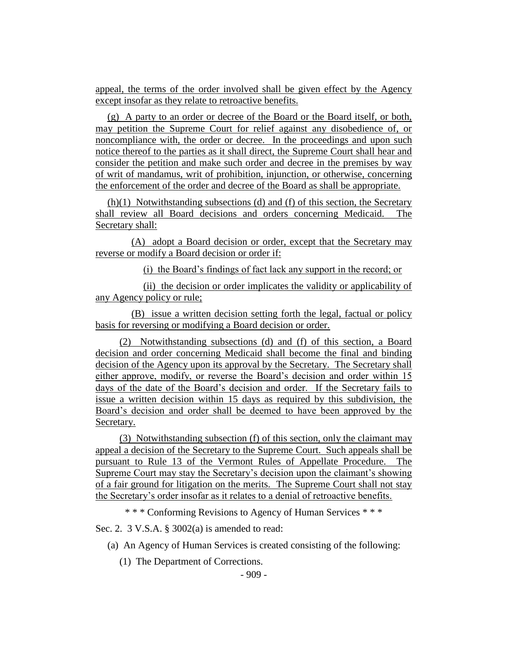appeal, the terms of the order involved shall be given effect by the Agency except insofar as they relate to retroactive benefits.

(g) A party to an order or decree of the Board or the Board itself, or both, may petition the Supreme Court for relief against any disobedience of, or noncompliance with, the order or decree. In the proceedings and upon such notice thereof to the parties as it shall direct, the Supreme Court shall hear and consider the petition and make such order and decree in the premises by way of writ of mandamus, writ of prohibition, injunction, or otherwise, concerning the enforcement of the order and decree of the Board as shall be appropriate.

(h)(1) Notwithstanding subsections (d) and (f) of this section, the Secretary shall review all Board decisions and orders concerning Medicaid. The Secretary shall:

(A) adopt a Board decision or order, except that the Secretary may reverse or modify a Board decision or order if:

(i) the Board's findings of fact lack any support in the record; or

(ii) the decision or order implicates the validity or applicability of any Agency policy or rule;

(B) issue a written decision setting forth the legal, factual or policy basis for reversing or modifying a Board decision or order.

(2) Notwithstanding subsections (d) and (f) of this section, a Board decision and order concerning Medicaid shall become the final and binding decision of the Agency upon its approval by the Secretary. The Secretary shall either approve, modify, or reverse the Board's decision and order within 15 days of the date of the Board's decision and order. If the Secretary fails to issue a written decision within 15 days as required by this subdivision, the Board's decision and order shall be deemed to have been approved by the Secretary.

(3) Notwithstanding subsection (f) of this section, only the claimant may appeal a decision of the Secretary to the Supreme Court. Such appeals shall be pursuant to Rule 13 of the Vermont Rules of Appellate Procedure. The Supreme Court may stay the Secretary's decision upon the claimant's showing of a fair ground for litigation on the merits. The Supreme Court shall not stay the Secretary's order insofar as it relates to a denial of retroactive benefits.

\* \* \* Conforming Revisions to Agency of Human Services \* \* \*

Sec. 2. 3 V.S.A. § 3002(a) is amended to read:

(a) An Agency of Human Services is created consisting of the following:

(1) The Department of Corrections.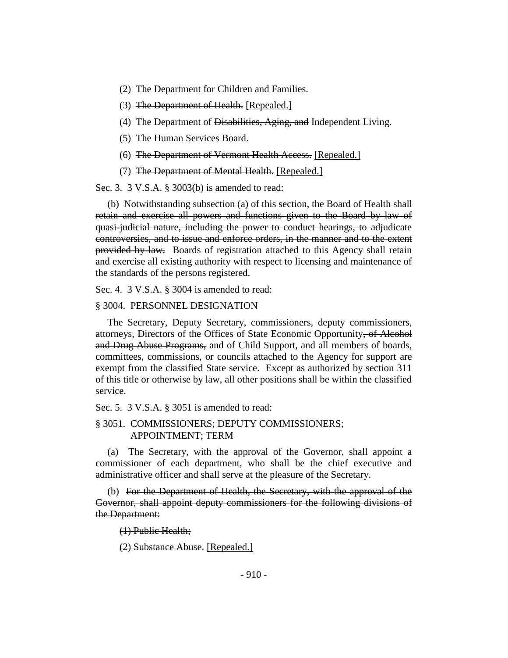- (2) The Department for Children and Families.
- (3) The Department of Health. [Repealed.]
- (4) The Department of <del>Disabilities, Aging, and</del> Independent Living.
- (5) The Human Services Board.
- (6) The Department of Vermont Health Access. [Repealed.]
- (7) The Department of Mental Health. [Repealed.]

Sec. 3. 3 V.S.A. § 3003(b) is amended to read:

(b) Notwithstanding subsection (a) of this section, the Board of Health shall retain and exercise all powers and functions given to the Board by law of quasi-judicial nature, including the power to conduct hearings, to adjudicate controversies, and to issue and enforce orders, in the manner and to the extent provided by law. Boards of registration attached to this Agency shall retain and exercise all existing authority with respect to licensing and maintenance of the standards of the persons registered.

Sec. 4. 3 V.S.A. § 3004 is amended to read:

#### § 3004. PERSONNEL DESIGNATION

The Secretary, Deputy Secretary, commissioners, deputy commissioners, attorneys, Directors of the Offices of State Economic Opportunity, of Alcohol and Drug Abuse Programs, and of Child Support, and all members of boards, committees, commissions, or councils attached to the Agency for support are exempt from the classified State service. Except as authorized by section 311 of this title or otherwise by law, all other positions shall be within the classified service.

Sec. 5. 3 V.S.A. § 3051 is amended to read:

#### § 3051. COMMISSIONERS; DEPUTY COMMISSIONERS; APPOINTMENT; TERM

(a) The Secretary, with the approval of the Governor, shall appoint a commissioner of each department, who shall be the chief executive and administrative officer and shall serve at the pleasure of the Secretary.

(b) For the Department of Health, the Secretary, with the approval of the Governor, shall appoint deputy commissioners for the following divisions of the Department:

(1) Public Health;

(2) Substance Abuse. [Repealed.]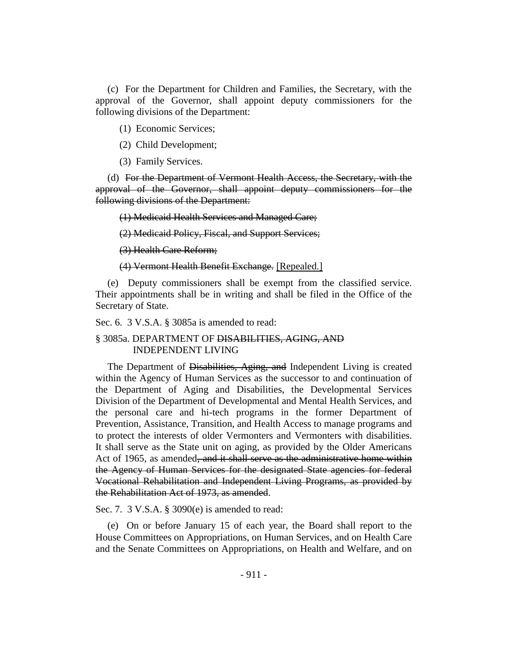(c) For the Department for Children and Families, the Secretary, with the approval of the Governor, shall appoint deputy commissioners for the following divisions of the Department:

(1) Economic Services;

(2) Child Development;

(3) Family Services.

(d) For the Department of Vermont Health Access, the Secretary, with the approval of the Governor, shall appoint deputy commissioners for the following divisions of the Department:

(1) Medicaid Health Services and Managed Care;

(2) Medicaid Policy, Fiscal, and Support Services;

(3) Health Care Reform;

(4) Vermont Health Benefit Exchange. [Repealed.]

(e) Deputy commissioners shall be exempt from the classified service. Their appointments shall be in writing and shall be filed in the Office of the Secretary of State.

Sec. 6. 3 V.S.A. § 3085a is amended to read:

#### § 3085a. DEPARTMENT OF DISABILITIES, AGING, AND INDEPENDENT LIVING

The Department of Disabilities, Aging, and Independent Living is created within the Agency of Human Services as the successor to and continuation of the Department of Aging and Disabilities, the Developmental Services Division of the Department of Developmental and Mental Health Services, and the personal care and hi-tech programs in the former Department of Prevention, Assistance, Transition, and Health Access to manage programs and to protect the interests of older Vermonters and Vermonters with disabilities. It shall serve as the State unit on aging, as provided by the Older Americans Act of 1965, as amended, and it shall serve as the administrative home within the Agency of Human Services for the designated State agencies for federal Vocational Rehabilitation and Independent Living Programs, as provided by the Rehabilitation Act of 1973, as amended.

Sec. 7. 3 V.S.A. § 3090(e) is amended to read:

(e) On or before January 15 of each year, the Board shall report to the House Committees on Appropriations, on Human Services, and on Health Care and the Senate Committees on Appropriations, on Health and Welfare, and on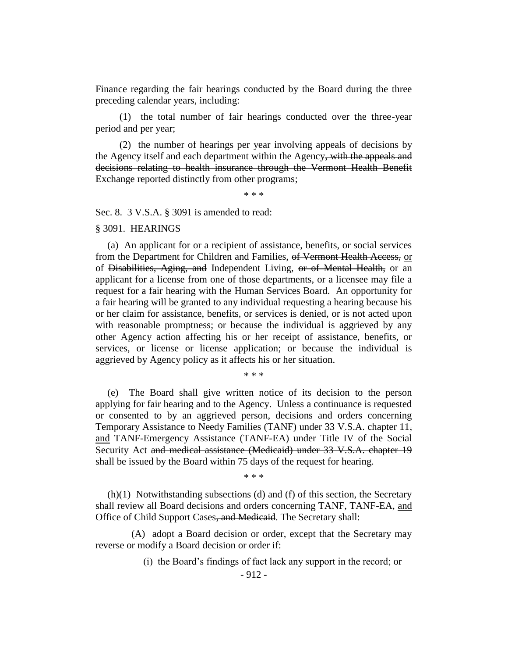Finance regarding the fair hearings conducted by the Board during the three preceding calendar years, including:

(1) the total number of fair hearings conducted over the three-year period and per year;

(2) the number of hearings per year involving appeals of decisions by the Agency itself and each department within the Agency, with the appeals and decisions relating to health insurance through the Vermont Health Benefit Exchange reported distinctly from other programs;

\* \* \*

Sec. 8. 3 V.S.A. § 3091 is amended to read:

#### § 3091. HEARINGS

(a) An applicant for or a recipient of assistance, benefits, or social services from the Department for Children and Families, of Vermont Health Access, or of Disabilities, Aging, and Independent Living, or of Mental Health, or an applicant for a license from one of those departments, or a licensee may file a request for a fair hearing with the Human Services Board. An opportunity for a fair hearing will be granted to any individual requesting a hearing because his or her claim for assistance, benefits, or services is denied, or is not acted upon with reasonable promptness; or because the individual is aggrieved by any other Agency action affecting his or her receipt of assistance, benefits, or services, or license or license application; or because the individual is aggrieved by Agency policy as it affects his or her situation.

\* \* \*

(e) The Board shall give written notice of its decision to the person applying for fair hearing and to the Agency. Unless a continuance is requested or consented to by an aggrieved person, decisions and orders concerning Temporary Assistance to Needy Families (TANF) under 33 V.S.A. chapter 11, and TANF-Emergency Assistance (TANF-EA) under Title IV of the Social Security Act and medical assistance (Medicaid) under 33 V.S.A. chapter 19 shall be issued by the Board within 75 days of the request for hearing.

\* \* \*

(h)(1) Notwithstanding subsections (d) and (f) of this section, the Secretary shall review all Board decisions and orders concerning TANF, TANF-EA, and Office of Child Support Cases, and Medicaid. The Secretary shall:

(A) adopt a Board decision or order, except that the Secretary may reverse or modify a Board decision or order if:

(i) the Board's findings of fact lack any support in the record; or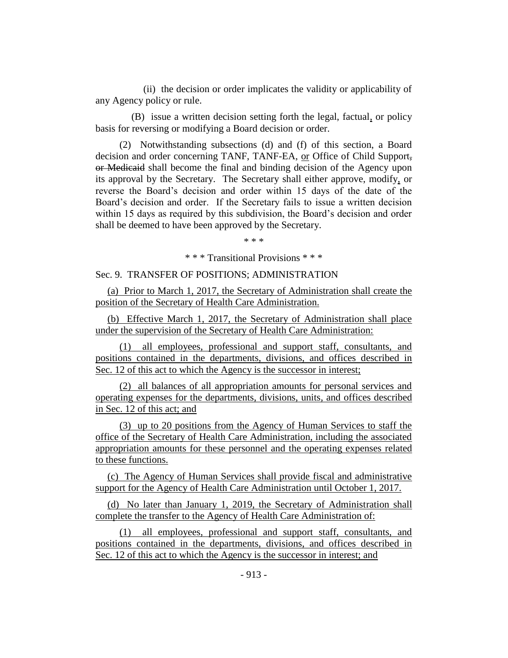(ii) the decision or order implicates the validity or applicability of any Agency policy or rule.

(B) issue a written decision setting forth the legal, factual, or policy basis for reversing or modifying a Board decision or order.

(2) Notwithstanding subsections (d) and (f) of this section, a Board decision and order concerning TANF, TANF-EA, or Office of Child Support, or Medicaid shall become the final and binding decision of the Agency upon its approval by the Secretary. The Secretary shall either approve, modify, or reverse the Board's decision and order within 15 days of the date of the Board's decision and order. If the Secretary fails to issue a written decision within 15 days as required by this subdivision, the Board's decision and order shall be deemed to have been approved by the Secretary.

\* \* \*

\* \* \* Transitional Provisions \* \* \*

Sec. 9. TRANSFER OF POSITIONS; ADMINISTRATION

(a) Prior to March 1, 2017, the Secretary of Administration shall create the position of the Secretary of Health Care Administration.

(b) Effective March 1, 2017, the Secretary of Administration shall place under the supervision of the Secretary of Health Care Administration:

(1) all employees, professional and support staff, consultants, and positions contained in the departments, divisions, and offices described in Sec. 12 of this act to which the Agency is the successor in interest;

(2) all balances of all appropriation amounts for personal services and operating expenses for the departments, divisions, units, and offices described in Sec. 12 of this act; and

(3) up to 20 positions from the Agency of Human Services to staff the office of the Secretary of Health Care Administration, including the associated appropriation amounts for these personnel and the operating expenses related to these functions.

(c) The Agency of Human Services shall provide fiscal and administrative support for the Agency of Health Care Administration until October 1, 2017.

(d) No later than January 1, 2019, the Secretary of Administration shall complete the transfer to the Agency of Health Care Administration of:

(1) all employees, professional and support staff, consultants, and positions contained in the departments, divisions, and offices described in Sec. 12 of this act to which the Agency is the successor in interest; and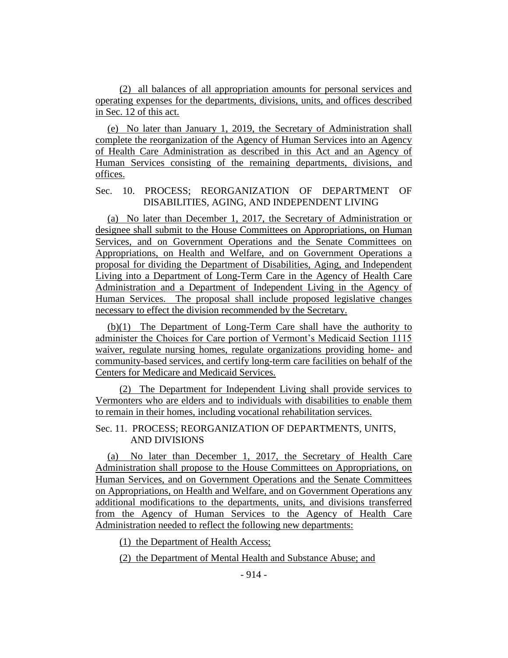(2) all balances of all appropriation amounts for personal services and operating expenses for the departments, divisions, units, and offices described in Sec. 12 of this act.

(e) No later than January 1, 2019, the Secretary of Administration shall complete the reorganization of the Agency of Human Services into an Agency of Health Care Administration as described in this Act and an Agency of Human Services consisting of the remaining departments, divisions, and offices.

## Sec. 10. PROCESS; REORGANIZATION OF DEPARTMENT OF DISABILITIES, AGING, AND INDEPENDENT LIVING

(a) No later than December 1, 2017, the Secretary of Administration or designee shall submit to the House Committees on Appropriations, on Human Services, and on Government Operations and the Senate Committees on Appropriations, on Health and Welfare, and on Government Operations a proposal for dividing the Department of Disabilities, Aging, and Independent Living into a Department of Long-Term Care in the Agency of Health Care Administration and a Department of Independent Living in the Agency of Human Services. The proposal shall include proposed legislative changes necessary to effect the division recommended by the Secretary.

(b)(1) The Department of Long-Term Care shall have the authority to administer the Choices for Care portion of Vermont's Medicaid Section 1115 waiver, regulate nursing homes, regulate organizations providing home- and community-based services, and certify long-term care facilities on behalf of the Centers for Medicare and Medicaid Services.

(2) The Department for Independent Living shall provide services to Vermonters who are elders and to individuals with disabilities to enable them to remain in their homes, including vocational rehabilitation services.

### Sec. 11. PROCESS; REORGANIZATION OF DEPARTMENTS, UNITS, AND DIVISIONS

(a) No later than December 1, 2017, the Secretary of Health Care Administration shall propose to the House Committees on Appropriations, on Human Services, and on Government Operations and the Senate Committees on Appropriations, on Health and Welfare, and on Government Operations any additional modifications to the departments, units, and divisions transferred from the Agency of Human Services to the Agency of Health Care Administration needed to reflect the following new departments:

(1) the Department of Health Access;

(2) the Department of Mental Health and Substance Abuse; and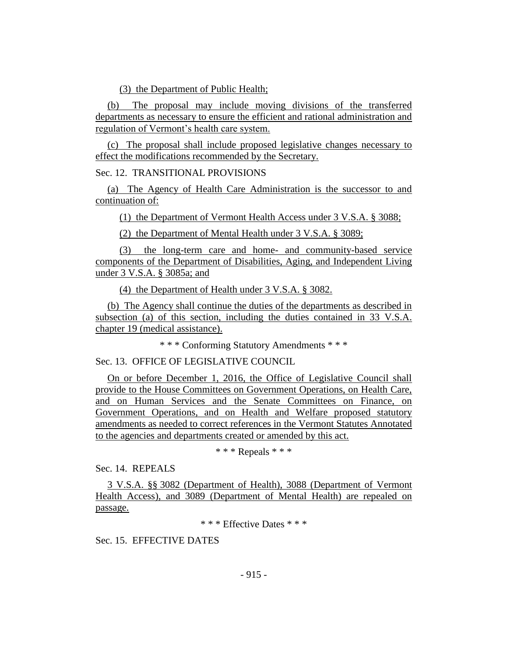(3) the Department of Public Health;

(b) The proposal may include moving divisions of the transferred departments as necessary to ensure the efficient and rational administration and regulation of Vermont's health care system.

(c) The proposal shall include proposed legislative changes necessary to effect the modifications recommended by the Secretary.

Sec. 12. TRANSITIONAL PROVISIONS

(a) The Agency of Health Care Administration is the successor to and continuation of:

(1) the Department of Vermont Health Access under 3 V.S.A. § 3088;

(2) the Department of Mental Health under 3 V.S.A. § 3089;

(3) the long-term care and home- and community-based service components of the Department of Disabilities, Aging, and Independent Living under 3 V.S.A. § 3085a; and

(4) the Department of Health under 3 V.S.A. § 3082.

(b) The Agency shall continue the duties of the departments as described in subsection (a) of this section, including the duties contained in 33 V.S.A. chapter 19 (medical assistance).

\* \* \* Conforming Statutory Amendments \* \* \*

Sec. 13. OFFICE OF LEGISLATIVE COUNCIL

On or before December 1, 2016, the Office of Legislative Council shall provide to the House Committees on Government Operations, on Health Care, and on Human Services and the Senate Committees on Finance, on Government Operations, and on Health and Welfare proposed statutory amendments as needed to correct references in the Vermont Statutes Annotated to the agencies and departments created or amended by this act.

\* \* \* Repeals \* \* \*

Sec. 14. REPEALS

3 V.S.A. §§ 3082 (Department of Health), 3088 (Department of Vermont Health Access), and 3089 (Department of Mental Health) are repealed on passage.

\* \* \* Effective Dates \* \* \*

Sec. 15. EFFECTIVE DATES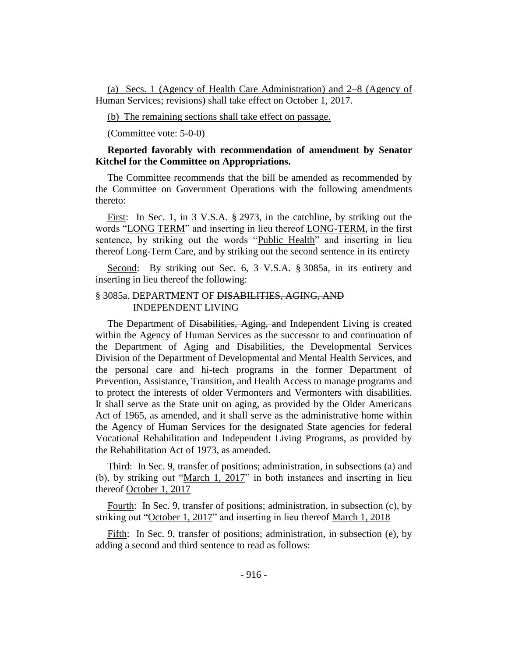(a) Secs. 1 (Agency of Health Care Administration) and 2–8 (Agency of Human Services; revisions) shall take effect on October 1, 2017.

(b) The remaining sections shall take effect on passage.

(Committee vote: 5-0-0)

### **Reported favorably with recommendation of amendment by Senator Kitchel for the Committee on Appropriations.**

The Committee recommends that the bill be amended as recommended by the Committee on Government Operations with the following amendments thereto:

First: In Sec. 1, in 3 V.S.A. § 2973, in the catchline, by striking out the words "LONG TERM" and inserting in lieu thereof LONG-TERM, in the first sentence, by striking out the words "Public Health" and inserting in lieu thereof Long-Term Care, and by striking out the second sentence in its entirety

Second: By striking out Sec. 6, 3 V.S.A. § 3085a, in its entirety and inserting in lieu thereof the following:

#### § 3085a. DEPARTMENT OF DISABILITIES, AGING, AND INDEPENDENT LIVING

The Department of Disabilities, Aging, and Independent Living is created within the Agency of Human Services as the successor to and continuation of the Department of Aging and Disabilities, the Developmental Services Division of the Department of Developmental and Mental Health Services, and the personal care and hi-tech programs in the former Department of Prevention, Assistance, Transition, and Health Access to manage programs and to protect the interests of older Vermonters and Vermonters with disabilities. It shall serve as the State unit on aging, as provided by the Older Americans Act of 1965, as amended, and it shall serve as the administrative home within the Agency of Human Services for the designated State agencies for federal Vocational Rehabilitation and Independent Living Programs, as provided by the Rehabilitation Act of 1973, as amended.

Third: In Sec. 9, transfer of positions; administration, in subsections (a) and (b), by striking out "March 1, 2017" in both instances and inserting in lieu thereof October 1, 2017

Fourth: In Sec. 9, transfer of positions; administration, in subsection (c), by striking out "October 1, 2017" and inserting in lieu thereof March 1, 2018

Fifth: In Sec. 9, transfer of positions; administration, in subsection (e), by adding a second and third sentence to read as follows: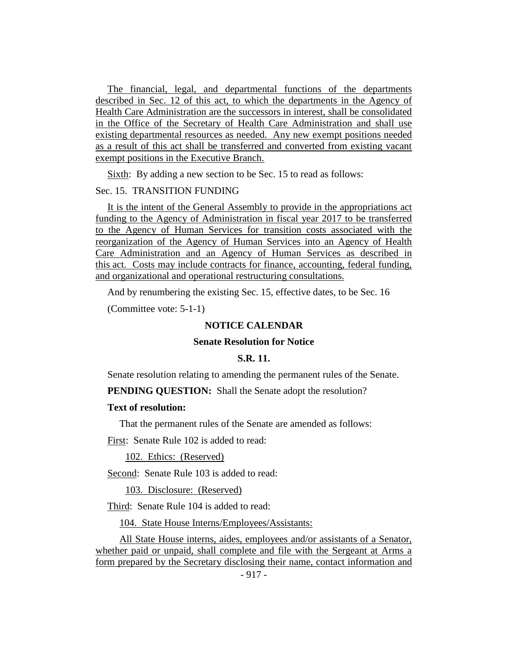The financial, legal, and departmental functions of the departments described in Sec. 12 of this act, to which the departments in the Agency of Health Care Administration are the successors in interest, shall be consolidated in the Office of the Secretary of Health Care Administration and shall use existing departmental resources as needed. Any new exempt positions needed as a result of this act shall be transferred and converted from existing vacant exempt positions in the Executive Branch.

Sixth: By adding a new section to be Sec. 15 to read as follows:

#### Sec. 15. TRANSITION FUNDING

It is the intent of the General Assembly to provide in the appropriations act funding to the Agency of Administration in fiscal year 2017 to be transferred to the Agency of Human Services for transition costs associated with the reorganization of the Agency of Human Services into an Agency of Health Care Administration and an Agency of Human Services as described in this act. Costs may include contracts for finance, accounting, federal funding, and organizational and operational restructuring consultations.

And by renumbering the existing Sec. 15, effective dates, to be Sec. 16

(Committee vote: 5-1-1)

## **NOTICE CALENDAR**

#### **Senate Resolution for Notice**

#### **S.R. 11.**

Senate resolution relating to amending the permanent rules of the Senate.

**PENDING QUESTION:** Shall the Senate adopt the resolution?

## **Text of resolution:**

That the permanent rules of the Senate are amended as follows:

First: Senate Rule 102 is added to read:

102. Ethics: (Reserved)

Second: Senate Rule 103 is added to read:

103. Disclosure: (Reserved)

Third: Senate Rule 104 is added to read:

104. State House Interns/Employees/Assistants:

All State House interns, aides, employees and/or assistants of a Senator, whether paid or unpaid, shall complete and file with the Sergeant at Arms a form prepared by the Secretary disclosing their name, contact information and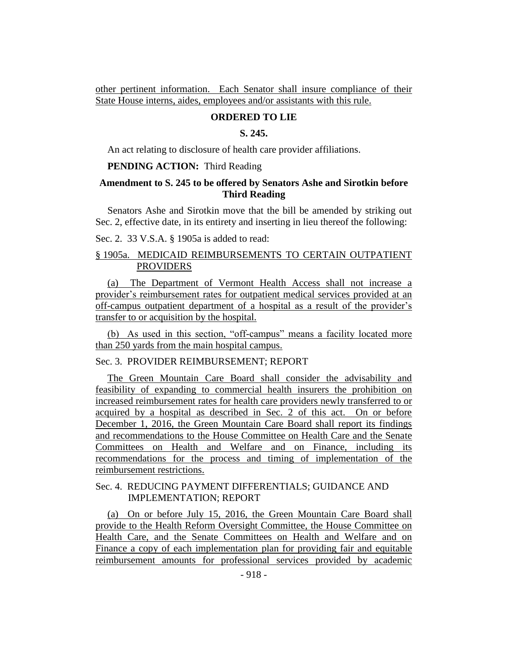other pertinent information. Each Senator shall insure compliance of their State House interns, aides, employees and/or assistants with this rule.

#### **ORDERED TO LIE**

#### **S. 245.**

An act relating to disclosure of health care provider affiliations.

#### **PENDING ACTION:** Third Reading

## **Amendment to S. 245 to be offered by Senators Ashe and Sirotkin before Third Reading**

Senators Ashe and Sirotkin move that the bill be amended by striking out Sec. 2, effective date, in its entirety and inserting in lieu thereof the following:

Sec. 2. 33 V.S.A. § 1905a is added to read:

## § 1905a. MEDICAID REIMBURSEMENTS TO CERTAIN OUTPATIENT **PROVIDERS**

(a) The Department of Vermont Health Access shall not increase a provider's reimbursement rates for outpatient medical services provided at an off-campus outpatient department of a hospital as a result of the provider's transfer to or acquisition by the hospital.

(b) As used in this section, "off-campus" means a facility located more than 250 yards from the main hospital campus.

## Sec. 3. PROVIDER REIMBURSEMENT; REPORT

The Green Mountain Care Board shall consider the advisability and feasibility of expanding to commercial health insurers the prohibition on increased reimbursement rates for health care providers newly transferred to or acquired by a hospital as described in Sec. 2 of this act. On or before December 1, 2016, the Green Mountain Care Board shall report its findings and recommendations to the House Committee on Health Care and the Senate Committees on Health and Welfare and on Finance, including its recommendations for the process and timing of implementation of the reimbursement restrictions.

## Sec. 4. REDUCING PAYMENT DIFFERENTIALS; GUIDANCE AND IMPLEMENTATION; REPORT

(a) On or before July 15, 2016, the Green Mountain Care Board shall provide to the Health Reform Oversight Committee, the House Committee on Health Care, and the Senate Committees on Health and Welfare and on Finance a copy of each implementation plan for providing fair and equitable reimbursement amounts for professional services provided by academic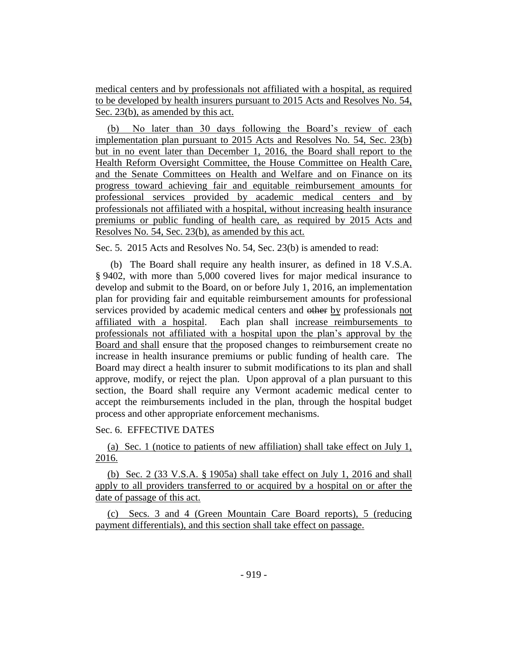medical centers and by professionals not affiliated with a hospital, as required to be developed by health insurers pursuant to 2015 Acts and Resolves No. 54, Sec. 23(b), as amended by this act.

(b) No later than 30 days following the Board's review of each implementation plan pursuant to 2015 Acts and Resolves No. 54, Sec. 23(b) but in no event later than December 1, 2016, the Board shall report to the Health Reform Oversight Committee, the House Committee on Health Care, and the Senate Committees on Health and Welfare and on Finance on its progress toward achieving fair and equitable reimbursement amounts for professional services provided by academic medical centers and by professionals not affiliated with a hospital, without increasing health insurance premiums or public funding of health care, as required by 2015 Acts and Resolves No. 54, Sec. 23(b), as amended by this act.

Sec. 5. 2015 Acts and Resolves No. 54, Sec. 23(b) is amended to read:

(b) The Board shall require any health insurer, as defined in 18 V.S.A. § 9402, with more than 5,000 covered lives for major medical insurance to develop and submit to the Board, on or before July 1, 2016, an implementation plan for providing fair and equitable reimbursement amounts for professional services provided by academic medical centers and other by professionals not affiliated with a hospital. Each plan shall increase reimbursements to professionals not affiliated with a hospital upon the plan's approval by the Board and shall ensure that the proposed changes to reimbursement create no increase in health insurance premiums or public funding of health care. The Board may direct a health insurer to submit modifications to its plan and shall approve, modify, or reject the plan. Upon approval of a plan pursuant to this section, the Board shall require any Vermont academic medical center to accept the reimbursements included in the plan, through the hospital budget process and other appropriate enforcement mechanisms.

Sec. 6. EFFECTIVE DATES

(a) Sec. 1 (notice to patients of new affiliation) shall take effect on July 1, 2016.

(b) Sec. 2 (33 V.S.A. § 1905a) shall take effect on July 1, 2016 and shall apply to all providers transferred to or acquired by a hospital on or after the date of passage of this act.

(c) Secs. 3 and 4 (Green Mountain Care Board reports), 5 (reducing payment differentials), and this section shall take effect on passage.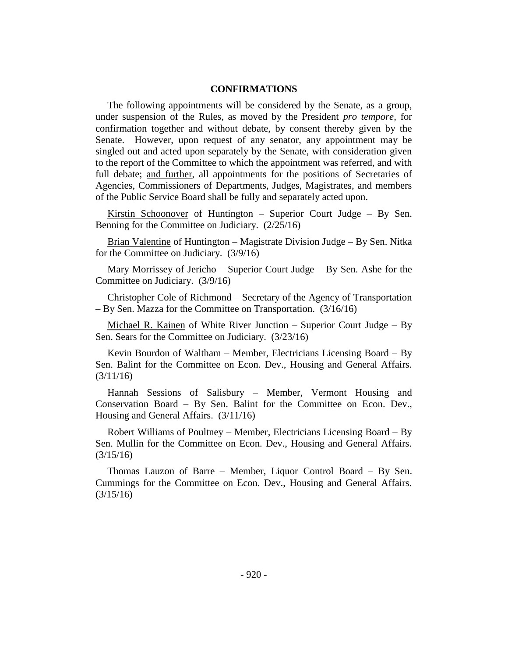#### **CONFIRMATIONS**

The following appointments will be considered by the Senate, as a group, under suspension of the Rules, as moved by the President *pro tempore,* for confirmation together and without debate, by consent thereby given by the Senate. However, upon request of any senator, any appointment may be singled out and acted upon separately by the Senate, with consideration given to the report of the Committee to which the appointment was referred, and with full debate; and further, all appointments for the positions of Secretaries of Agencies, Commissioners of Departments, Judges, Magistrates, and members of the Public Service Board shall be fully and separately acted upon.

Kirstin Schoonover of Huntington – Superior Court Judge – By Sen. Benning for the Committee on Judiciary. (2/25/16)

Brian Valentine of Huntington – Magistrate Division Judge – By Sen. Nitka for the Committee on Judiciary. (3/9/16)

Mary Morrissey of Jericho – Superior Court Judge – By Sen. Ashe for the Committee on Judiciary. (3/9/16)

Christopher Cole of Richmond – Secretary of the Agency of Transportation – By Sen. Mazza for the Committee on Transportation. (3/16/16)

Michael R. Kainen of White River Junction – Superior Court Judge – By Sen. Sears for the Committee on Judiciary. (3/23/16)

Kevin Bourdon of Waltham – Member, Electricians Licensing Board – By Sen. Balint for the Committee on Econ. Dev., Housing and General Affairs. (3/11/16)

Hannah Sessions of Salisbury – Member, Vermont Housing and Conservation Board – By Sen. Balint for the Committee on Econ. Dev., Housing and General Affairs. (3/11/16)

Robert Williams of Poultney – Member, Electricians Licensing Board – By Sen. Mullin for the Committee on Econ. Dev., Housing and General Affairs. (3/15/16)

Thomas Lauzon of Barre – Member, Liquor Control Board – By Sen. Cummings for the Committee on Econ. Dev., Housing and General Affairs. (3/15/16)